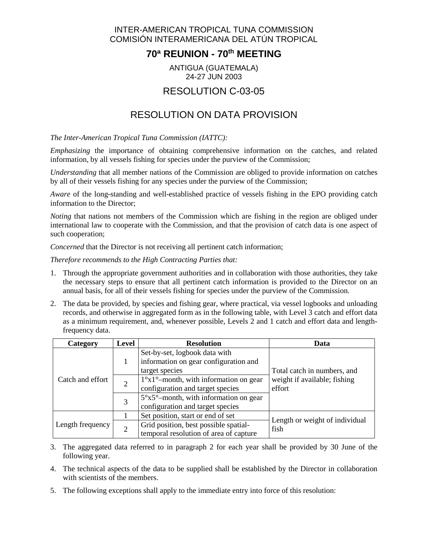#### INTER-AMERICAN TROPICAL TUNA COMMISSION COMISIÓN INTERAMERICANA DEL ATÚN TROPICAL

### **70ª REUNION - 70th MEETING**

#### ANTIGUA (GUATEMALA) 24-27 JUN 2003

## RESOLUTION C-03-05

# RESOLUTION ON DATA PROVISION

*The Inter-American Tropical Tuna Commission (IATTC):*

*Emphasizing* the importance of obtaining comprehensive information on the catches, and related information, by all vessels fishing for species under the purview of the Commission;

*Understanding* that all member nations of the Commission are obliged to provide information on catches by all of their vessels fishing for any species under the purview of the Commission;

*Aware* of the long-standing and well-established practice of vessels fishing in the EPO providing catch information to the Director;

*Noting* that nations not members of the Commission which are fishing in the region are obliged under international law to cooperate with the Commission, and that the provision of catch data is one aspect of such cooperation;

*Concerned* that the Director is not receiving all pertinent catch information;

*Therefore recommends to the High Contracting Parties that:*

- 1. Through the appropriate government authorities and in collaboration with those authorities, they take the necessary steps to ensure that all pertinent catch information is provided to the Director on an annual basis, for all of their vessels fishing for species under the purview of the Commission.
- 2. The data be provided, by species and fishing gear, where practical, via vessel logbooks and unloading records, and otherwise in aggregated form as in the following table, with Level 3 catch and effort data as a minimum requirement, and, whenever possible, Levels 2 and 1 catch and effort data and lengthfrequency data.

| Category         | <b>Level</b>   | <b>Resolution</b>                                                        | Data                                                                  |
|------------------|----------------|--------------------------------------------------------------------------|-----------------------------------------------------------------------|
| Catch and effort |                | Set-by-set, logbook data with<br>information on gear configuration and   | Total catch in numbers, and<br>weight if available; fishing<br>effort |
|                  | $\overline{2}$ | target species<br>$1^{\circ}x1^{\circ}$ -month, with information on gear |                                                                       |
|                  |                | configuration and target species                                         |                                                                       |
|                  | 3              | $5^\circ$ x $5^\circ$ -month, with information on gear                   |                                                                       |
|                  |                | configuration and target species                                         |                                                                       |
| Length frequency |                | Set position, start or end of set                                        | Length or weight of individual                                        |
|                  |                | Grid position, best possible spatial-                                    | fish                                                                  |
|                  |                | temporal resolution of area of capture                                   |                                                                       |

- 3. The aggregated data referred to in paragraph 2 for each year shall be provided by 30 June of the following year.
- 4. The technical aspects of the data to be supplied shall be established by the Director in collaboration with scientists of the members.
- 5. The following exceptions shall apply to the immediate entry into force of this resolution: